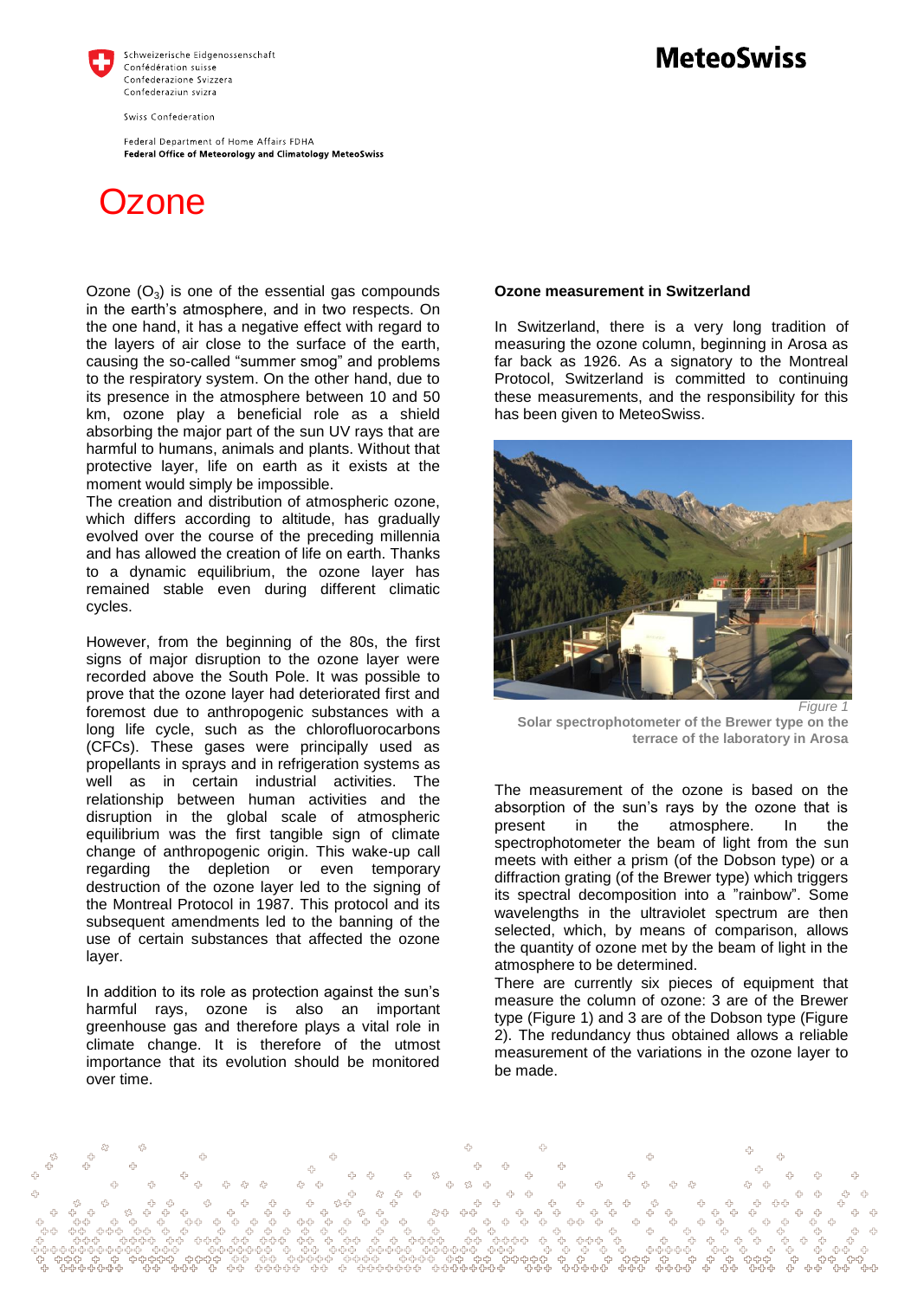

Swiss Confederation

Federal Department of Home Affairs FDHA Federal Office of Meteorology and Climatology MeteoSwiss

## **Ozone**

Ozone  $(O_3)$  is one of the essential gas compounds in the earth's atmosphere, and in two respects. On the one hand, it has a negative effect with regard to the layers of air close to the surface of the earth, causing the so-called "summer smog" and problems to the respiratory system. On the other hand, due to its presence in the atmosphere between 10 and 50 km, ozone play a beneficial role as a shield absorbing the major part of the sun UV rays that are harmful to humans, animals and plants. Without that protective layer, life on earth as it exists at the moment would simply be impossible.

The creation and distribution of atmospheric ozone, which differs according to altitude, has gradually evolved over the course of the preceding millennia and has allowed the creation of life on earth. Thanks to a dynamic equilibrium, the ozone layer has remained stable even during different climatic cycles.

However, from the beginning of the 80s, the first signs of major disruption to the ozone layer were recorded above the South Pole. It was possible to prove that the ozone layer had deteriorated first and foremost due to anthropogenic substances with a long life cycle, such as the chlorofluorocarbons (CFCs). These gases were principally used as propellants in sprays and in refrigeration systems as well as in certain industrial activities. The relationship between human activities and the disruption in the global scale of atmospheric equilibrium was the first tangible sign of climate change of anthropogenic origin. This wake-up call regarding the depletion or even temporary destruction of the ozone layer led to the signing of the Montreal Protocol in 1987. This protocol and its subsequent amendments led to the banning of the use of certain substances that affected the ozone layer.

In addition to its role as protection against the sun's harmful rays, ozone is also an important greenhouse gas and therefore plays a vital role in climate change. It is therefore of the utmost importance that its evolution should be monitored over time.

## **Ozone measurement in Switzerland**

In Switzerland, there is a very long tradition of measuring the ozone column, beginning in Arosa as far back as 1926. As a signatory to the Montreal Protocol, Switzerland is committed to continuing these measurements, and the responsibility for this has been given to MeteoSwiss.



**Solar spectrophotometer of the Brewer type on the terrace of the laboratory in Arosa**

The measurement of the ozone is based on the absorption of the sun's rays by the ozone that is present in the atmosphere. In the spectrophotometer the beam of light from the sun meets with either a prism (of the Dobson type) or a diffraction grating (of the Brewer type) which triggers its spectral decomposition into a "rainbow". Some wavelengths in the ultraviolet spectrum are then selected, which, by means of comparison, allows the quantity of ozone met by the beam of light in the atmosphere to be determined.

There are currently six pieces of equipment that measure the column of ozone: 3 are of the Brewer type (Figure 1) and 3 are of the Dobson type (Figure 2). The redundancy thus obtained allows a reliable measurement of the variations in the ozone layer to be made.